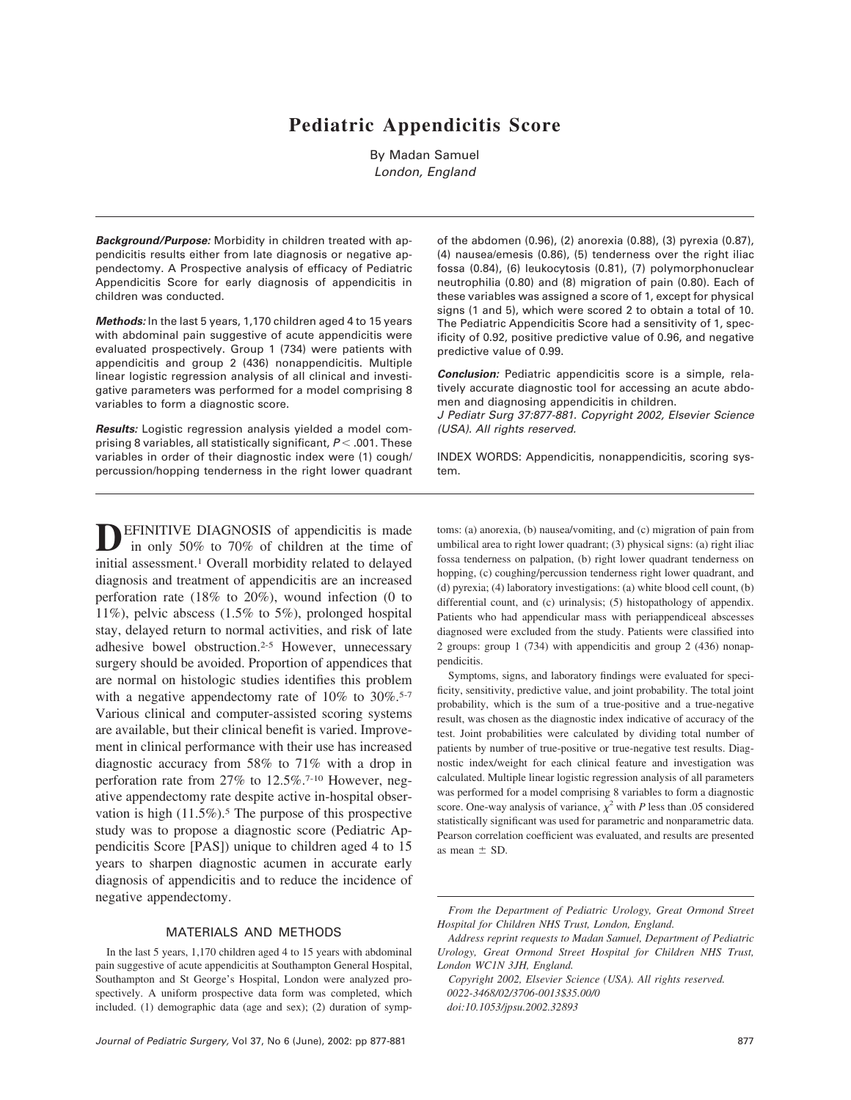# **Pediatric Appendicitis Score**

By Madan Samuel London, England

*Background/Purpose:* Morbidity in children treated with appendicitis results either from late diagnosis or negative appendectomy. A Prospective analysis of efficacy of Pediatric Appendicitis Score for early diagnosis of appendicitis in children was conducted.

*Methods:* In the last 5 years,1,170 children aged 4 to 15 years with abdominal pain suggestive of acute appendicitis were evaluated prospectively. Group 1 (734) were patients with appendicitis and group 2 (436) nonappendicitis. Multiple linear logistic regression analysis of all clinical and investigative parameters was performed for a model comprising 8 variables to form a diagnostic score.

*Results:* Logistic regression analysis yielded a model comprising 8 variables, all statistically significant,  $P < .001$ . These variables in order of their diagnostic index were (1) cough/ percussion/hopping tenderness in the right lower quadrant

**EFINITIVE DIAGNOSIS** of appendicitis is made in only 50% to 70% of children at the time of initial assessment.1 Overall morbidity related to delayed diagnosis and treatment of appendicitis are an increased perforation rate (18% to 20%), wound infection (0 to 11%), pelvic abscess (1.5% to 5%), prolonged hospital stay, delayed return to normal activities, and risk of late adhesive bowel obstruction.2-5 However, unnecessary surgery should be avoided. Proportion of appendices that are normal on histologic studies identifies this problem with a negative appendectomy rate of  $10\%$  to  $30\%$ .<sup>5-7</sup> Various clinical and computer-assisted scoring systems are available, but their clinical benefit is varied.Improvement in clinical performance with their use has increased diagnostic accuracy from 58% to 71% with a drop in perforation rate from 27% to 12.5%.7-10 However, negative appendectomy rate despite active in-hospital observation is high  $(11.5\%)$ .<sup>5</sup> The purpose of this prospective study was to propose a diagnostic score (Pediatric Appendicitis Score [PAS]) unique to children aged 4 to 15 years to sharpen diagnostic acumen in accurate early diagnosis of appendicitis and to reduce the incidence of negative appendectomy.

# MATERIALS AND METHODS

In the last 5 years, 1,170 children aged 4 to 15 years with abdominal pain suggestive of acute appendicitis at Southampton General Hospital, Southampton and St George's Hospital, London were analyzed prospectively. A uniform prospective data form was completed, which included. (1) demographic data (age and sex); (2) duration of sympof the abdomen (0.96),(2) anorexia (0.88),(3) pyrexia (0.87), (4) nausea/emesis (0.86),(5) tenderness over the right iliac fossa (0.84),(6) leukocytosis (0.81),(7) polymorphonuclear neutrophilia (0.80) and (8) migration of pain (0.80). Each of these variables was assigned a score of 1, except for physical signs (1 and 5), which were scored 2 to obtain a total of 10. The Pediatric Appendicitis Score had a sensitivity of 1, specificity of 0.92, positive predictive value of 0.96, and negative predictive value of 0.99.

**Conclusion:** Pediatric appendicitis score is a simple, relatively accurate diagnostic tool for accessing an acute abdomen and diagnosing appendicitis in children.

J Pediatr Surg 37:877-881. Copyright 2002, Elsevier Science (USA). All rights reserved.

INDEX WORDS: Appendicitis, nonappendicitis, scoring system.

toms: (a) anorexia, (b) nausea/vomiting, and (c) migration of pain from umbilical area to right lower quadrant; (3) physical signs: (a) right iliac fossa tenderness on palpation, (b) right lower quadrant tenderness on hopping, (c) coughing/percussion tenderness right lower quadrant, and (d) pyrexia; (4) laboratory investigations: (a) white blood cell count, (b) differential count, and (c) urinalysis; (5) histopathology of appendix. Patients who had appendicular mass with periappendiceal abscesses diagnosed were excluded from the study.Patients were classified into 2 groups: group 1 (734) with appendicitis and group 2 (436) nonappendicitis.

Symptoms, signs, and laboratory findings were evaluated for specificity, sensitivity, predictive value, and joint probability.The total joint probability, which is the sum of a true-positive and a true-negative result, was chosen as the diagnostic index indicative of accuracy of the test.Joint probabilities were calculated by dividing total number of patients by number of true-positive or true-negative test results. Diagnostic index/weight for each clinical feature and investigation was calculated.Multiple linear logistic regression analysis of all parameters was performed for a model comprising 8 variables to form a diagnostic score. One-way analysis of variance,  $\chi^2$  with *P* less than .05 considered statistically significant was used for parametric and nonparametric data. Pearson correlation coefficient was evaluated, and results are presented as mean  $\pm$  SD.

*From the Department of Pediatric Urology, Great Ormond Street Hospital for Children NHS Trust, London, England.*

*Address reprint requests to Madan Samuel, Department of Pediatric Urology, Great Ormond Street Hospital for Children NHS Trust, London WC1N 3JH, England.*

*Copyright 2002, Elsevier Science (USA). All rights reserved. 0022-3468/02/3706-0013\$35.00/0 doi:10.1053/jpsu.2002.32893*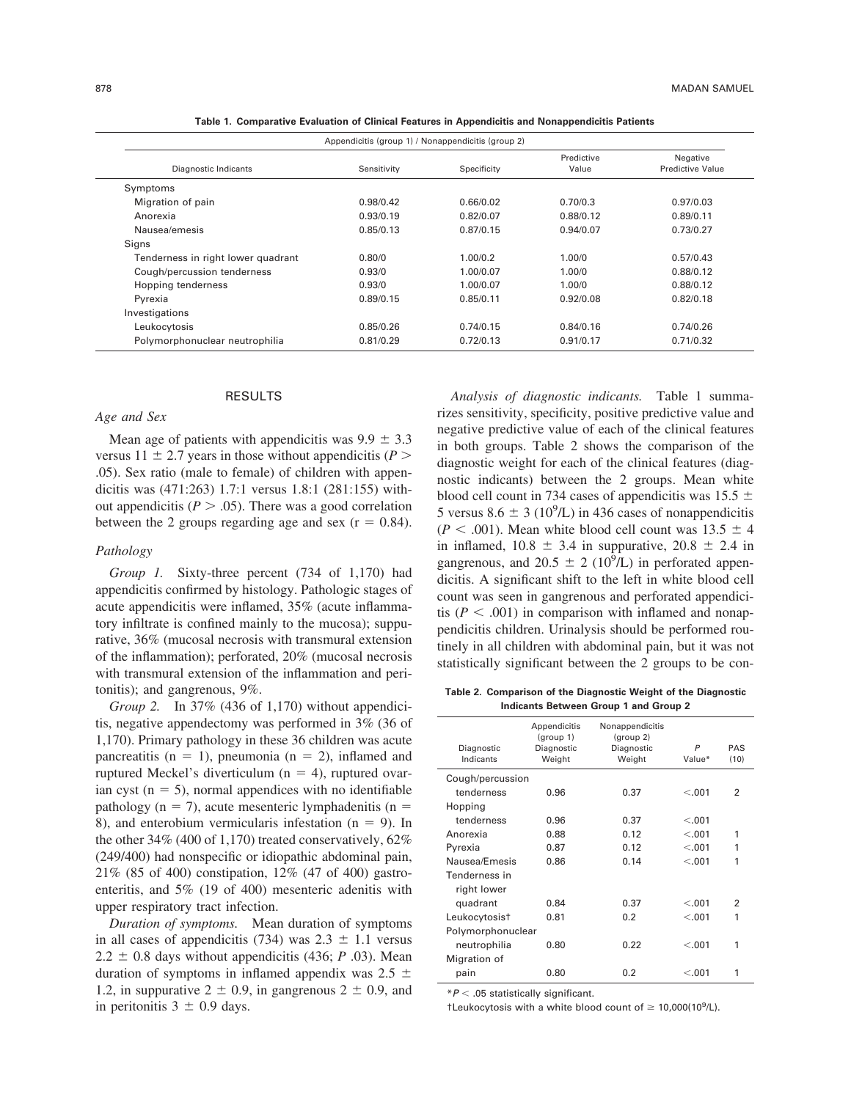| Appendicitis (group 1) / Nonappendicitis (group 2) |             |             |                     |                                     |  |  |
|----------------------------------------------------|-------------|-------------|---------------------|-------------------------------------|--|--|
| Diagnostic Indicants                               | Sensitivity | Specificity | Predictive<br>Value | Negative<br><b>Predictive Value</b> |  |  |
| Symptoms                                           |             |             |                     |                                     |  |  |
| Migration of pain                                  | 0.98/0.42   | 0.66/0.02   | 0.70/0.3            | 0.97/0.03                           |  |  |
| Anorexia                                           | 0.93/0.19   | 0.82/0.07   | 0.88/0.12           | 0.89/0.11                           |  |  |
| Nausea/emesis                                      | 0.85/0.13   | 0.87/0.15   | 0.94/0.07           | 0.73/0.27                           |  |  |
| Signs                                              |             |             |                     |                                     |  |  |
| Tenderness in right lower quadrant                 | 0.80/0      | 1.00/0.2    | 1.00/0              | 0.57/0.43                           |  |  |
| Cough/percussion tenderness                        | 0.93/0      | 1.00/0.07   | 1.00/0              | 0.88/0.12                           |  |  |
| Hopping tenderness                                 | 0.93/0      | 1.00/0.07   | 1.00/0              | 0.88/0.12                           |  |  |
| Pyrexia                                            | 0.89/0.15   | 0.85/0.11   | 0.92/0.08           | 0.82/0.18                           |  |  |
| Investigations                                     |             |             |                     |                                     |  |  |
| Leukocytosis                                       | 0.85/0.26   | 0.74/0.15   | 0.84/0.16           | 0.74/0.26                           |  |  |
| Polymorphonuclear neutrophilia                     | 0.81/0.29   | 0.72/0.13   | 0.91/0.17           | 0.71/0.32                           |  |  |

**Table 1. Comparative Evaluation of Clinical Features in Appendicitis and Nonappendicitis Patients**

#### RESULTS

#### *Age and Sex*

Mean age of patients with appendicitis was  $9.9 \pm 3.3$ versus  $11 \pm 2.7$  years in those without appendicitis ( $P >$ .05). Sex ratio (male to female) of children with appendicitis was (471:263) 1.7:1 versus 1.8:1 (281:155) without appendicitis  $(P > .05)$ . There was a good correlation between the 2 groups regarding age and sex  $(r = 0.84)$ .

# *Pathology*

*Group 1.* Sixty-three percent (734 of 1,170) had appendicitis confirmed by histology.Pathologic stages of acute appendicitis were inflamed, 35% (acute inflammatory infiltrate is confined mainly to the mucosa); suppurative, 36% (mucosal necrosis with transmural extension of the inflammation); perforated, 20% (mucosal necrosis with transmural extension of the inflammation and peritonitis); and gangrenous, 9%.

*Group 2.* In 37% (436 of 1,170) without appendicitis, negative appendectomy was performed in 3% (36 of 1,170).Primary pathology in these 36 children was acute pancreatitis ( $n = 1$ ), pneumonia ( $n = 2$ ), inflamed and ruptured Meckel's diverticulum ( $n = 4$ ), ruptured ovarian cyst ( $n = 5$ ), normal appendices with no identifiable pathology ( $n = 7$ ), acute mesenteric lymphadenitis ( $n =$ 8), and enterobium vermicularis infestation ( $n = 9$ ). In the other 34% (400 of 1,170) treated conservatively, 62% (249/400) had nonspecific or idiopathic abdominal pain, 21% (85 of 400) constipation, 12% (47 of 400) gastroenteritis, and 5% (19 of 400) mesenteric adenitis with upper respiratory tract infection.

*Duration of symptoms.* Mean duration of symptoms in all cases of appendicitis (734) was  $2.3 \pm 1.1$  versus  $2.2 \pm 0.8$  days without appendicitis (436; *P* .03). Mean duration of symptoms in inflamed appendix was  $2.5 \pm$ 1.2, in suppurative  $2 \pm 0.9$ , in gangrenous  $2 \pm 0.9$ , and in peritonitis  $3 \pm 0.9$  days.

*Analysis of diagnostic indicants.* Table 1 summarizes sensitivity, specificity, positive predictive value and negative predictive value of each of the clinical features in both groups.Table 2 shows the comparison of the diagnostic weight for each of the clinical features (diagnostic indicants) between the 2 groups. Mean white blood cell count in 734 cases of appendicitis was 15.5  $\pm$ 5 versus  $8.6 \pm 3$  (10<sup>9</sup>/L) in 436 cases of nonappendicitis  $(P < .001)$ . Mean white blood cell count was  $13.5 \pm 4$ in inflamed,  $10.8 \pm 3.4$  in suppurative,  $20.8 \pm 2.4$  in gangrenous, and 20.5  $\pm$  2 (10<sup>9</sup>/L) in perforated appendicitis.A significant shift to the left in white blood cell count was seen in gangrenous and perforated appendicitis ( $P < .001$ ) in comparison with inflamed and nonappendicitis children.Urinalysis should be performed routinely in all children with abdominal pain, but it was not statistically significant between the 2 groups to be con-

**Table 2. Comparison of the Diagnostic Weight of the Diagnostic Indicants Between Group 1 and Group 2**

| Diagnostic<br>Indicants | Appendicitis<br>(group 1)<br>Diagnostic<br>Weight | Nonappendicitis<br>(group 2)<br>Diagnostic<br>Weight | P<br>Value* | PAS<br>(10)    |  |  |  |
|-------------------------|---------------------------------------------------|------------------------------------------------------|-------------|----------------|--|--|--|
| Cough/percussion        |                                                   |                                                      |             |                |  |  |  |
| tenderness              | 0.96                                              | 0.37                                                 | < 0.01      | $\overline{2}$ |  |  |  |
| Hopping                 |                                                   |                                                      |             |                |  |  |  |
| tenderness              | 0.96                                              | 0.37                                                 | < .001      |                |  |  |  |
| Anorexia                | 0.88                                              | 0.12                                                 | < 0.001     | 1              |  |  |  |
| Pyrexia                 | 0.87                                              | 0.12                                                 | < 0.01      | 1              |  |  |  |
| Nausea/Emesis           | 0.86                                              | 0.14                                                 | < .001      | 1              |  |  |  |
| Tenderness in           |                                                   |                                                      |             |                |  |  |  |
| right lower             |                                                   |                                                      |             |                |  |  |  |
| quadrant                | 0.84                                              | 0.37                                                 | < 0.001     | 2              |  |  |  |
| Leukocytosist           | 0.81                                              | 0.2                                                  | < 0.01      | 1              |  |  |  |
| Polymorphonuclear       |                                                   |                                                      |             |                |  |  |  |
| neutrophilia            | 0.80                                              | 0.22                                                 | < 0.01      | 1              |  |  |  |
| Migration of            |                                                   |                                                      |             |                |  |  |  |
| pain                    | 0.80                                              | 0.2                                                  | < .001      | 1              |  |  |  |

 $*P < .05$  statistically significant.

+Leukocytosis with a white blood count of  $\geq 10,000(10^9/L)$ .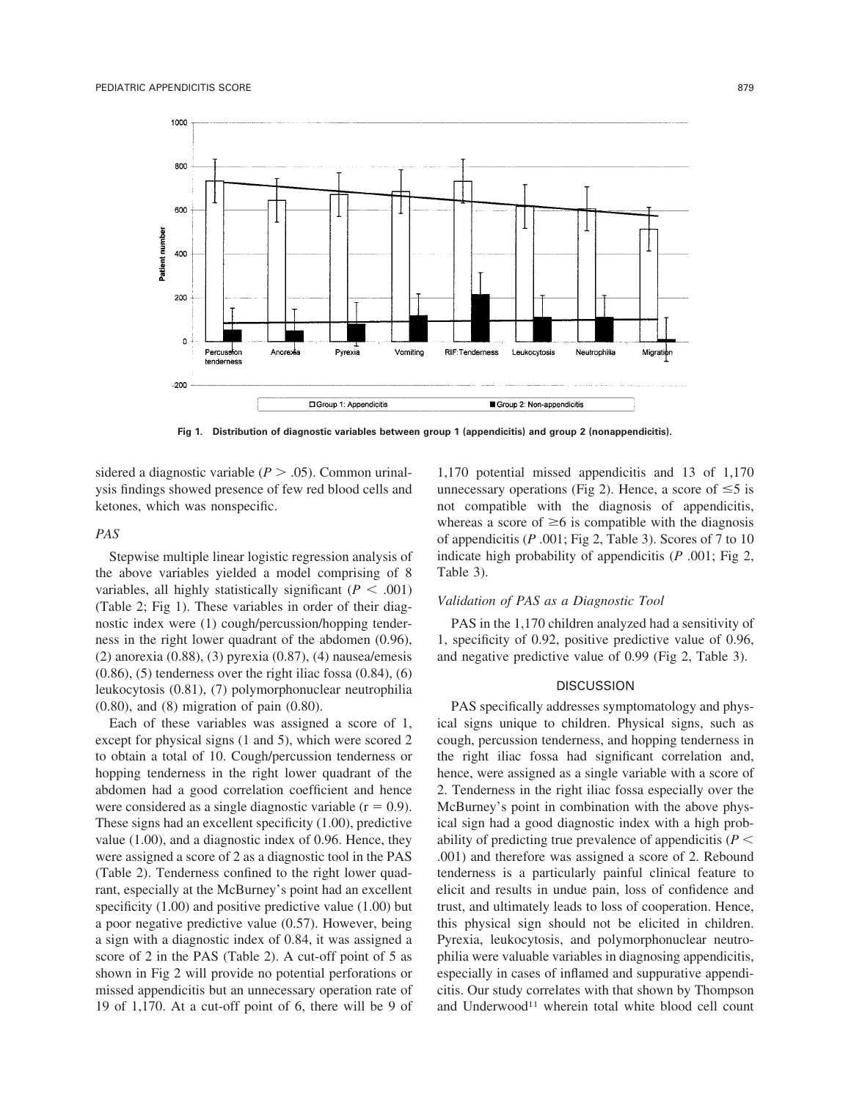

**Fig 1. Distribution of diagnostic variables between group 1 (appendicitis) and group 2 (nonappendicitis).**

sidered a diagnostic variable  $(P > .05)$ . Common urinalysis findings showed presence of few red blood cells and ketones, which was nonspecific.

# *PAS*

Stepwise multiple linear logistic regression analysis of the above variables yielded a model comprising of 8 variables, all highly statistically significant  $(P < .001)$ (Table 2; Fig 1). These variables in order of their diagnostic index were (1) cough/percussion/hopping tenderness in the right lower quadrant of the abdomen (0.96), (2) anorexia (0.88), (3) pyrexia (0.87), (4) nausea/emesis  $(0.86)$ ,  $(5)$  tenderness over the right iliac fossa  $(0.84)$ ,  $(6)$ leukocytosis (0.81), (7) polymorphonuclear neutrophilia (0.80), and (8) migration of pain (0.80).

Each of these variables was assigned a score of 1, except for physical signs (1 and 5), which were scored 2 to obtain a total of 10.Cough/percussion tenderness or hopping tenderness in the right lower quadrant of the abdomen had a good correlation coefficient and hence were considered as a single diagnostic variable  $(r = 0.9)$ . These signs had an excellent specificity (1.00), predictive value (1.00), and a diagnostic index of 0.96. Hence, they were assigned a score of 2 as a diagnostic tool in the PAS (Table 2).Tenderness confined to the right lower quadrant, especially at the McBurney's point had an excellent specificity (1.00) and positive predictive value (1.00) but a poor negative predictive value (0.57). However, being a sign with a diagnostic index of 0.84, it was assigned a score of 2 in the PAS (Table 2). A cut-off point of 5 as shown in Fig 2 will provide no potential perforations or missed appendicitis but an unnecessary operation rate of 19 of 1,170.At a cut-off point of 6, there will be 9 of 1,170 potential missed appendicitis and 13 of 1,170 unnecessary operations (Fig 2). Hence, a score of  $\leq 5$  is not compatible with the diagnosis of appendicitis, whereas a score of  $\geq 6$  is compatible with the diagnosis of appendicitis (*P* .001; Fig 2, Table 3). Scores of 7 to 10 indicate high probability of appendicitis (*P* .001; Fig 2, Table 3).

#### *Validation of PAS as a Diagnostic Tool*

PAS in the 1,170 children analyzed had a sensitivity of 1, specificity of 0.92, positive predictive value of 0.96, and negative predictive value of 0.99 (Fig 2, Table 3).

## **DISCUSSION**

PAS specifically addresses symptomatology and physical signs unique to children. Physical signs, such as cough, percussion tenderness, and hopping tenderness in the right iliac fossa had significant correlation and, hence, were assigned as a single variable with a score of 2.Tenderness in the right iliac fossa especially over the McBurney's point in combination with the above physical sign had a good diagnostic index with a high probability of predicting true prevalence of appendicitis (*P* .001) and therefore was assigned a score of 2. Rebound tenderness is a particularly painful clinical feature to elicit and results in undue pain, loss of confidence and trust, and ultimately leads to loss of cooperation. Hence, this physical sign should not be elicited in children. Pyrexia, leukocytosis, and polymorphonuclear neutrophilia were valuable variables in diagnosing appendicitis, especially in cases of inflamed and suppurative appendicitis.Our study correlates with that shown by Thompson and Underwood<sup>11</sup> wherein total white blood cell count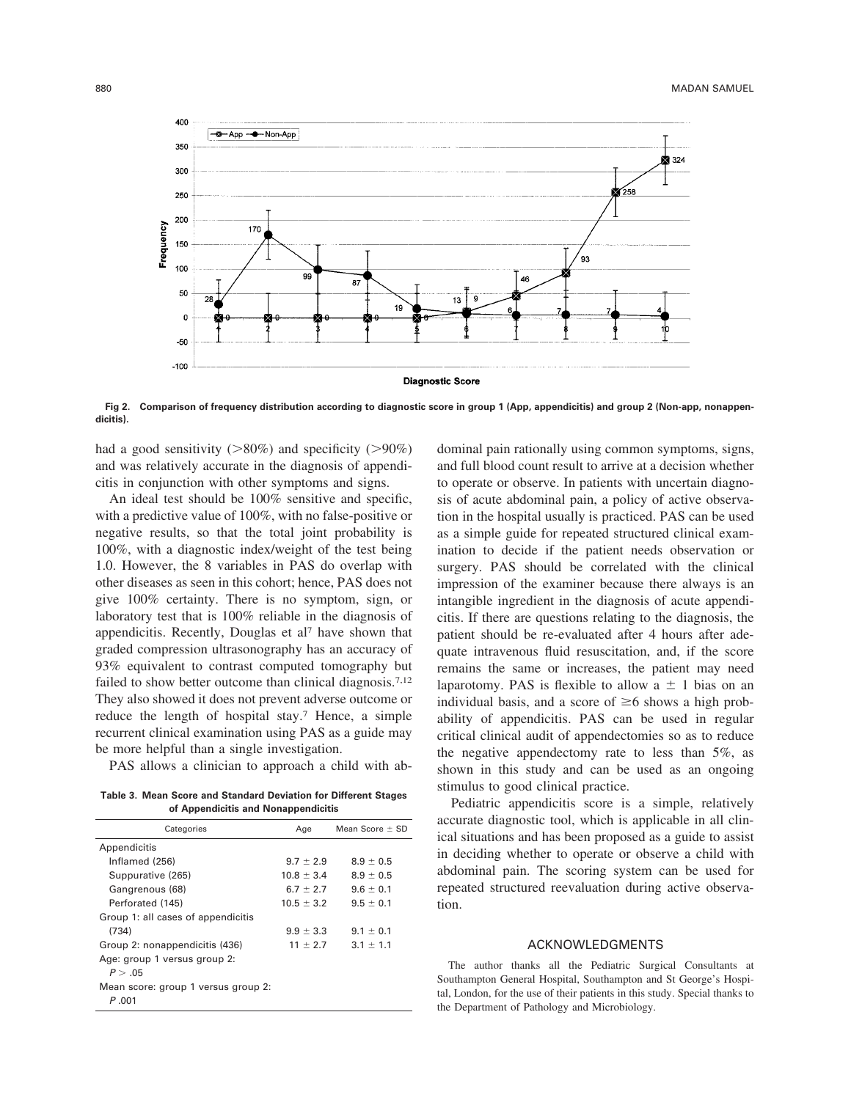

**Fig 2. Comparison of frequency distribution according to diagnostic score in group 1 (App, appendicitis) and group 2 (Non-app, nonappendicitis).**

had a good sensitivity  $(>80\%)$  and specificity  $(>90\%)$ and was relatively accurate in the diagnosis of appendicitis in conjunction with other symptoms and signs.

An ideal test should be 100% sensitive and specific, with a predictive value of 100%, with no false-positive or negative results, so that the total joint probability is 100%, with a diagnostic index/weight of the test being 1.0. However, the 8 variables in PAS do overlap with other diseases as seen in this cohort; hence, PAS does not give 100% certainty.There is no symptom, sign, or laboratory test that is 100% reliable in the diagnosis of appendicitis. Recently, Douglas et al<sup>7</sup> have shown that graded compression ultrasonography has an accuracy of 93% equivalent to contrast computed tomography but failed to show better outcome than clinical diagnosis.<sup>7,12</sup> They also showed it does not prevent adverse outcome or reduce the length of hospital stay.7 Hence, a simple recurrent clinical examination using PAS as a guide may be more helpful than a single investigation.

PAS allows a clinician to approach a child with ab-

**Table 3. Mean Score and Standard Deviation for Different Stages of Appendicitis and Nonappendicitis**

| et the perfection of all at the internal presentation of |                     |  |  |  |  |  |
|----------------------------------------------------------|---------------------|--|--|--|--|--|
| Age                                                      | Mean Score $\pm$ SD |  |  |  |  |  |
|                                                          |                     |  |  |  |  |  |
| $9.7 \pm 2.9$                                            | $8.9 \pm 0.5$       |  |  |  |  |  |
| $10.8 \pm 3.4$                                           | $8.9 \pm 0.5$       |  |  |  |  |  |
| $6.7 \pm 2.7$                                            | $9.6 \pm 0.1$       |  |  |  |  |  |
| $10.5 \pm 3.2$                                           | $9.5 \pm 0.1$       |  |  |  |  |  |
|                                                          |                     |  |  |  |  |  |
| $9.9 \pm 3.3$                                            | $9.1 \pm 0.1$       |  |  |  |  |  |
| $11 \pm 2.7$                                             | $3.1 \pm 1.1$       |  |  |  |  |  |
|                                                          |                     |  |  |  |  |  |
|                                                          |                     |  |  |  |  |  |
|                                                          |                     |  |  |  |  |  |
|                                                          |                     |  |  |  |  |  |
|                                                          |                     |  |  |  |  |  |

dominal pain rationally using common symptoms, signs, and full blood count result to arrive at a decision whether to operate or observe.In patients with uncertain diagnosis of acute abdominal pain, a policy of active observation in the hospital usually is practiced.PAS can be used as a simple guide for repeated structured clinical examination to decide if the patient needs observation or surgery. PAS should be correlated with the clinical impression of the examiner because there always is an intangible ingredient in the diagnosis of acute appendicitis.If there are questions relating to the diagnosis, the patient should be re-evaluated after 4 hours after adequate intravenous fluid resuscitation, and, if the score remains the same or increases, the patient may need laparotomy. PAS is flexible to allow  $a \pm 1$  bias on an individual basis, and a score of  $\geq 6$  shows a high probability of appendicitis. PAS can be used in regular critical clinical audit of appendectomies so as to reduce the negative appendectomy rate to less than 5%, as shown in this study and can be used as an ongoing stimulus to good clinical practice.

Pediatric appendicitis score is a simple, relatively accurate diagnostic tool, which is applicable in all clinical situations and has been proposed as a guide to assist in deciding whether to operate or observe a child with abdominal pain.The scoring system can be used for repeated structured reevaluation during active observation.

#### ACKNOWLEDGMENTS

The author thanks all the Pediatric Surgical Consultants at Southampton General Hospital, Southampton and St George's Hospital, London, for the use of their patients in this study. Special thanks to the Department of Pathology and Microbiology.